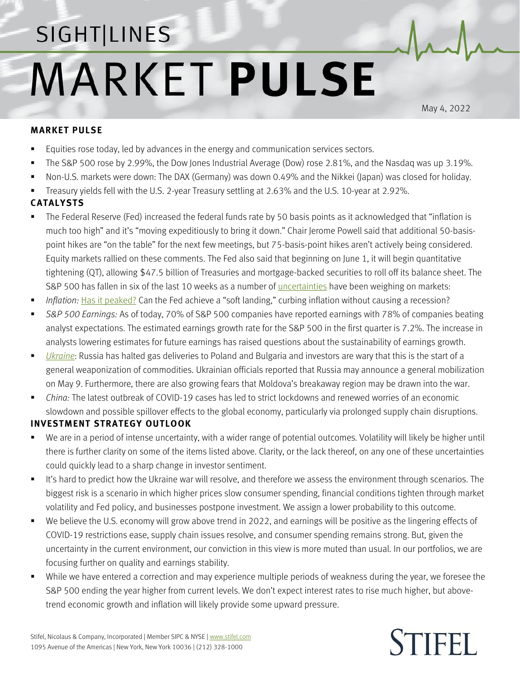## SIGHT LINES **MARKET PULSE**

May 4, 2022

## **MARKET PULSE**

- Equities rose today, led by advances in the energy and communication services sectors.
- The S&P 500 rose by 2.99%, the Dow Jones Industrial Average (Dow) rose 2.81%, and the Nasdaq was up 3.19%.
- Non-U.S. markets were down: The DAX (Germany) was down 0.49% and the Nikkei (Japan) was closed for holiday.
- Treasury yields fell with the U.S. 2-year Treasury settling at 2.63% and the U.S. 10-year at 2.92%.

## **CATALYSTS**

- The Federal Reserve (Fed) increased the federal funds rate by 50 basis points as it acknowledged that "inflation is much too high" and it's "moving expeditiously to bring it down." Chair Jerome Powell said that additional 50-basispoint hikes are "on the table" for the next few meetings, but 75-basis-point hikes aren't actively being considered. Equity markets rallied on these comments. The Fed also said that beginning on June 1, it will begin quantitative tightening (QT), allowing \$47.5 billion of Treasuries and mortgage-backed securities to roll off its balance sheet. The S&P 500 has fallen in six of the last 10 weeks as a number of *uncertainties* have been weighing on markets:
- *Inflation:* [Has it peaked?](https://www.stifel.com/Newsletters/AdGraphics/InSight/Sightlines/2022/SL042222.pdf) Can the Fed achieve a "soft landing," curbing inflation without causing a recession?
- *S&P 500 Earnings:* As of today, 70% of S&P 500 companies have reported earnings with 78% of companies beating analyst expectations. The estimated earnings growth rate for the S&P 500 in the first quarter is 7.2%. The increase in analysts lowering estimates for future earnings has raised questions about the sustainability of earnings growth.
- *[Ukraine](https://www.stifel.com/newsletters/AdGraphics/InSight/Major-Themes/MT.html)*: Russia has halted gas deliveries to Poland and Bulgaria and investors are wary that this is the start of a general weaponization of commodities. Ukrainian officials reported that Russia may announce a general mobilization on May 9. Furthermore, there are also growing fears that Moldova's breakaway region may be drawn into the war.
- *China:* The latest outbreak of COVID-19 cases has led to strict lockdowns and renewed worries of an economic slowdown and possible spillover effects to the global economy, particularly via prolonged supply chain disruptions.

## **INVESTMENT STRATEGY OUTLOOK**

- We are in a period of intense uncertainty, with a wider range of potential outcomes. Volatility will likely be higher until there is further clarity on some of the items listed above. Clarity, or the lack thereof, on any one of these uncertainties could quickly lead to a sharp change in investor sentiment.
- It's hard to predict how the Ukraine war will resolve, and therefore we assess the environment through scenarios. The biggest risk is a scenario in which higher prices slow consumer spending, financial conditions tighten through market volatility and Fed policy, and businesses postpone investment. We assign a lower probability to this outcome.
- We believe the U.S. economy will grow above trend in 2022, and earnings will be positive as the lingering effects of COVID-19 restrictions ease, supply chain issues resolve, and consumer spending remains strong. But, given the uncertainty in the current environment, our conviction in this view is more muted than usual. In our portfolios, we are focusing further on quality and earnings stability.
- While we have entered a correction and may experience multiple periods of weakness during the year, we foresee the S&P 500 ending the year higher from current levels. We don't expect interest rates to rise much higher, but abovetrend economic growth and inflation will likely provide some upward pressure.